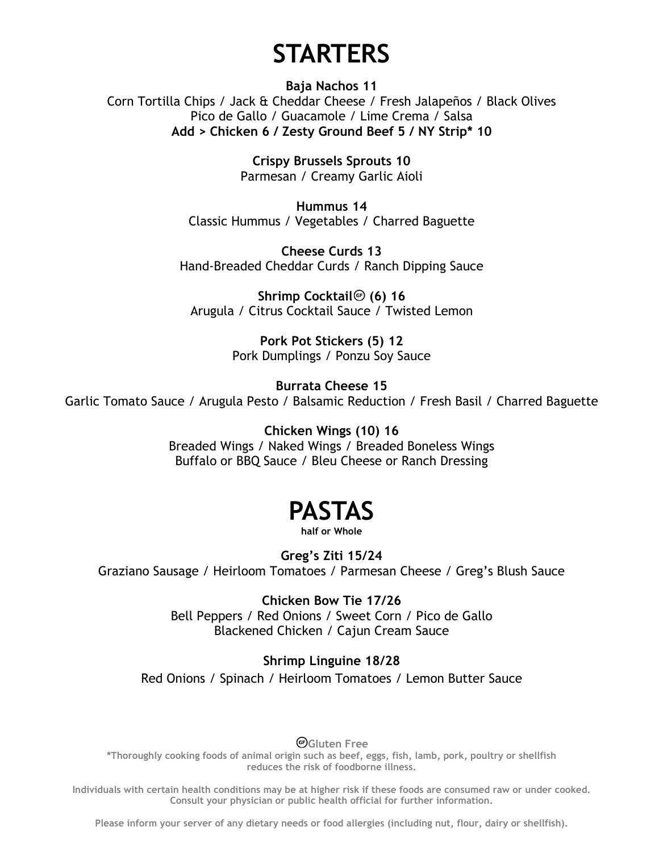### **STARTERS**

**Baja Nachos 11** Corn Tortilla Chips / Jack & Cheddar Cheese / Fresh Jalapeños / Black Olives Pico de Gallo / Guacamole / Lime Crema / Salsa **Add > Chicken 6 / Zesty Ground Beef 5 / NY Strip\* 10**

> **Crispy Brussels Sprouts 10** Parmesan / Creamy Garlic Aioli

**Hummus 14** Classic Hummus / Vegetables / Charred Baguette

**Cheese Curds 13** Hand-Breaded Cheddar Curds / Ranch Dipping Sauce

**Shrimp Cocktail<sup>®</sup> (6) 16** Arugula / Citrus Cocktail Sauce / Twisted Lemon

> **Pork Pot Stickers (5) 12** Pork Dumplings / Ponzu Soy Sauce

**Burrata Cheese 15** Garlic Tomato Sauce / Arugula Pesto / Balsamic Reduction / Fresh Basil / Charred Baguette

> **Chicken Wings (10) 16** Breaded Wings / Naked Wings / Breaded Boneless Wings Buffalo or BBQ Sauce / Bleu Cheese or Ranch Dressing

# **PASTAS**

**half or Whole**

**Greg's Ziti 15/24** Graziano Sausage / Heirloom Tomatoes / Parmesan Cheese / Greg's Blush Sauce

> **Chicken Bow Tie 17/26** Bell Peppers / Red Onions / Sweet Corn / Pico de Gallo Blackened Chicken / Cajun Cream Sauce

**Shrimp Linguine 18/28** Red Onions / Spinach / Heirloom Tomatoes / Lemon Butter Sauce

**Gluten Free**

**\*Thoroughly cooking foods of animal origin such as beef, eggs, fish, lamb, pork, poultry or shellfish reduces the risk of foodborne illness.** 

**Individuals with certain health conditions may be at higher risk if these foods are consumed raw or under cooked. Consult your physician or public health official for further information.**

**Please inform your server of any dietary needs or food allergies (including nut, flour, dairy or shellfish).**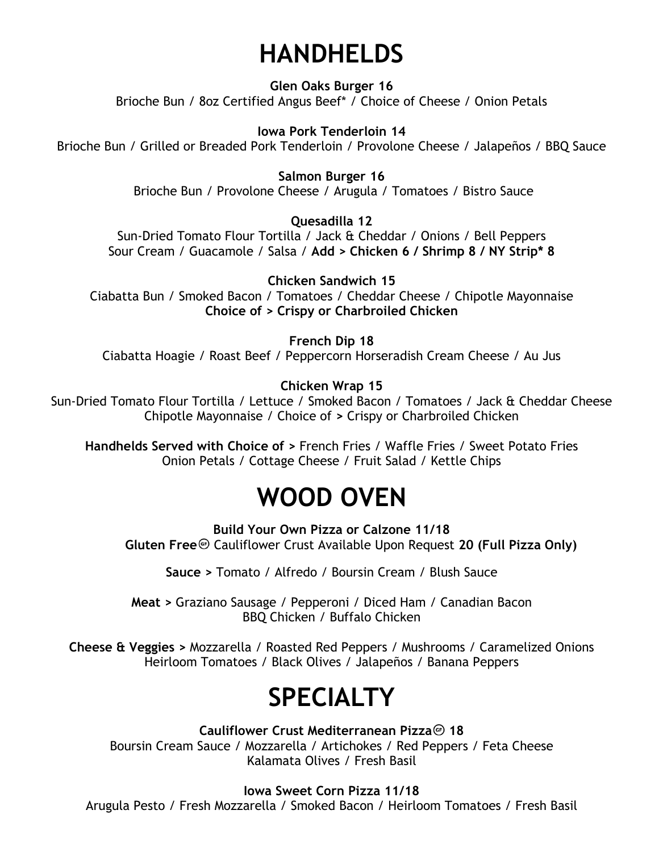# **HANDHELDS**

**Glen Oaks Burger 16** Brioche Bun / 8oz Certified Angus Beef\* / Choice of Cheese / Onion Petals

**Iowa Pork Tenderloin 14** Brioche Bun / Grilled or Breaded Pork Tenderloin / Provolone Cheese / Jalapeños / BBQ Sauce

> **Salmon Burger 16** Brioche Bun / Provolone Cheese / Arugula / Tomatoes / Bistro Sauce

> > **Quesadilla 12**

Sun-Dried Tomato Flour Tortilla / Jack & Cheddar / Onions / Bell Peppers Sour Cream / Guacamole / Salsa / **Add > Chicken 6 / Shrimp 8 / NY Strip\* 8**

**Chicken Sandwich 15** Ciabatta Bun / Smoked Bacon / Tomatoes / Cheddar Cheese / Chipotle Mayonnaise **Choice of > Crispy or Charbroiled Chicken**

**French Dip 18**

Ciabatta Hoagie / Roast Beef / Peppercorn Horseradish Cream Cheese / Au Jus

**Chicken Wrap 15**

Sun-Dried Tomato Flour Tortilla / Lettuce / Smoked Bacon / Tomatoes / Jack & Cheddar Cheese Chipotle Mayonnaise / Choice of **>** Crispy or Charbroiled Chicken

**Handhelds Served with Choice of >** French Fries / Waffle Fries / Sweet Potato Fries Onion Petals / Cottage Cheese / Fruit Salad / Kettle Chips

### **WOOD OVEN**

**Build Your Own Pizza or Calzone 11/18 Gluten Free** Cauliflower Crust Available Upon Request 20 (Full Pizza Only)

**Sauce >** Tomato / Alfredo / Boursin Cream / Blush Sauce

**Meat >** Graziano Sausage / Pepperoni / Diced Ham / Canadian Bacon BBQ Chicken / Buffalo Chicken

**Cheese & Veggies >** Mozzarella / Roasted Red Peppers / Mushrooms / Caramelized Onions Heirloom Tomatoes / Black Olives / Jalapeños / Banana Peppers

### **SPECIALTY**

**Cauliflower Crust Mediterranean Pizza** 18 Boursin Cream Sauce / Mozzarella / Artichokes / Red Peppers / Feta Cheese Kalamata Olives / Fresh Basil

**Iowa Sweet Corn Pizza 11/18**

Arugula Pesto / Fresh Mozzarella / Smoked Bacon / Heirloom Tomatoes / Fresh Basil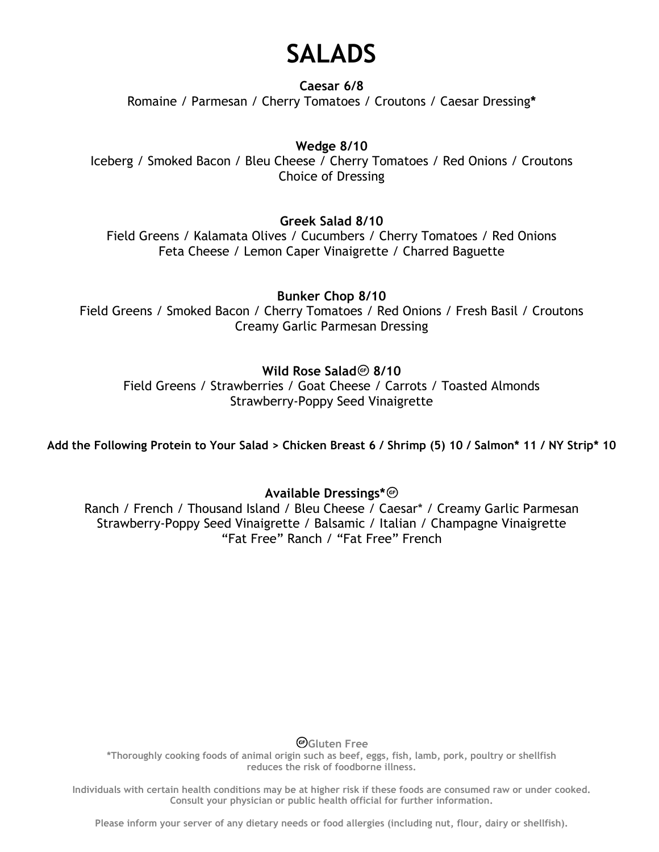### **SALADS**

**Caesar 6/8** Romaine / Parmesan / Cherry Tomatoes / Croutons / Caesar Dressing**\***

#### **Wedge 8/10**

Iceberg / Smoked Bacon / Bleu Cheese / Cherry Tomatoes / Red Onions / Croutons Choice of Dressing

#### **Greek Salad 8/10**

Field Greens / Kalamata Olives / Cucumbers / Cherry Tomatoes / Red Onions Feta Cheese / Lemon Caper Vinaigrette / Charred Baguette

**Bunker Chop 8/10**

Field Greens / Smoked Bacon / Cherry Tomatoes / Red Onions / Fresh Basil / Croutons Creamy Garlic Parmesan Dressing

#### **Wild Rose Salad<sup>@</sup> 8/10**

Field Greens / Strawberries / Goat Cheese / Carrots / Toasted Almonds Strawberry-Poppy Seed Vinaigrette

**Add the Following Protein to Your Salad > Chicken Breast 6 / Shrimp (5) 10 / Salmon\* 11 / NY Strip\* 10**

#### **Available Dressings\***

Ranch / French / Thousand Island / Bleu Cheese / Caesar\* / Creamy Garlic Parmesan Strawberry-Poppy Seed Vinaigrette / Balsamic / Italian / Champagne Vinaigrette "Fat Free" Ranch / "Fat Free" French

**Gluten Free**

**\*Thoroughly cooking foods of animal origin such as beef, eggs, fish, lamb, pork, poultry or shellfish reduces the risk of foodborne illness.** 

**Individuals with certain health conditions may be at higher risk if these foods are consumed raw or under cooked. Consult your physician or public health official for further information.**

**Please inform your server of any dietary needs or food allergies (including nut, flour, dairy or shellfish).**